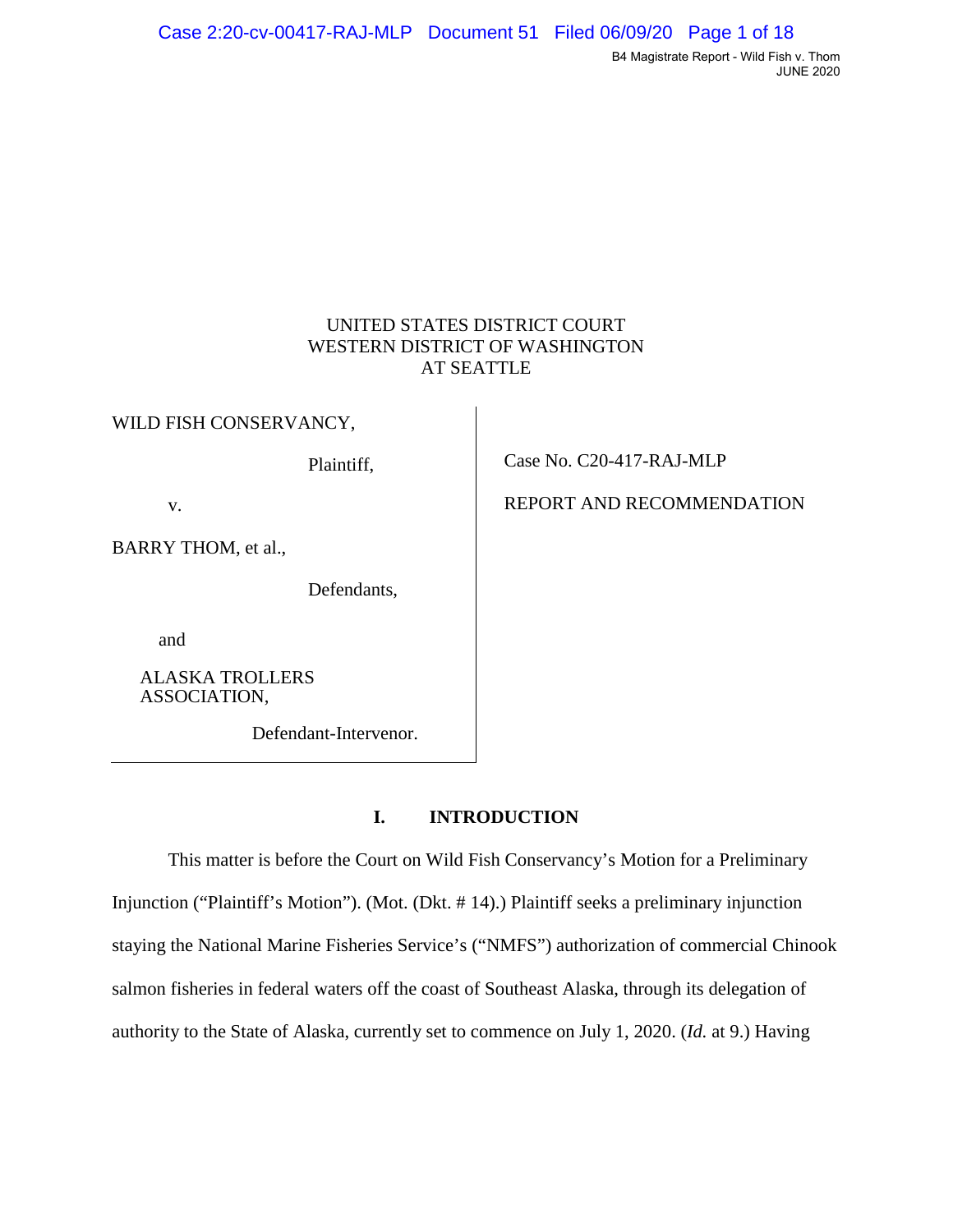# UNITED STATES DISTRICT COURT WESTERN DISTRICT OF WASHINGTON AT SEATTLE

WILD FISH CONSERVANCY,

Plaintiff,

v.

BARRY THOM, et al.,

Defendants,

and

ALASKA TROLLERS ASSOCIATION,

Defendant-Intervenor.

# **I. INTRODUCTION**

This matter is before the Court on Wild Fish Conservancy's Motion for a Preliminary Injunction ("Plaintiff's Motion"). (Mot. (Dkt. # 14).) Plaintiff seeks a preliminary injunction staying the National Marine Fisheries Service's ("NMFS") authorization of commercial Chinook salmon fisheries in federal waters off the coast of Southeast Alaska, through its delegation of authority to the State of Alaska, currently set to commence on July 1, 2020. (*Id.* at 9.) Having

Case No. C20-417-RAJ-MLP

REPORT AND RECOMMENDATION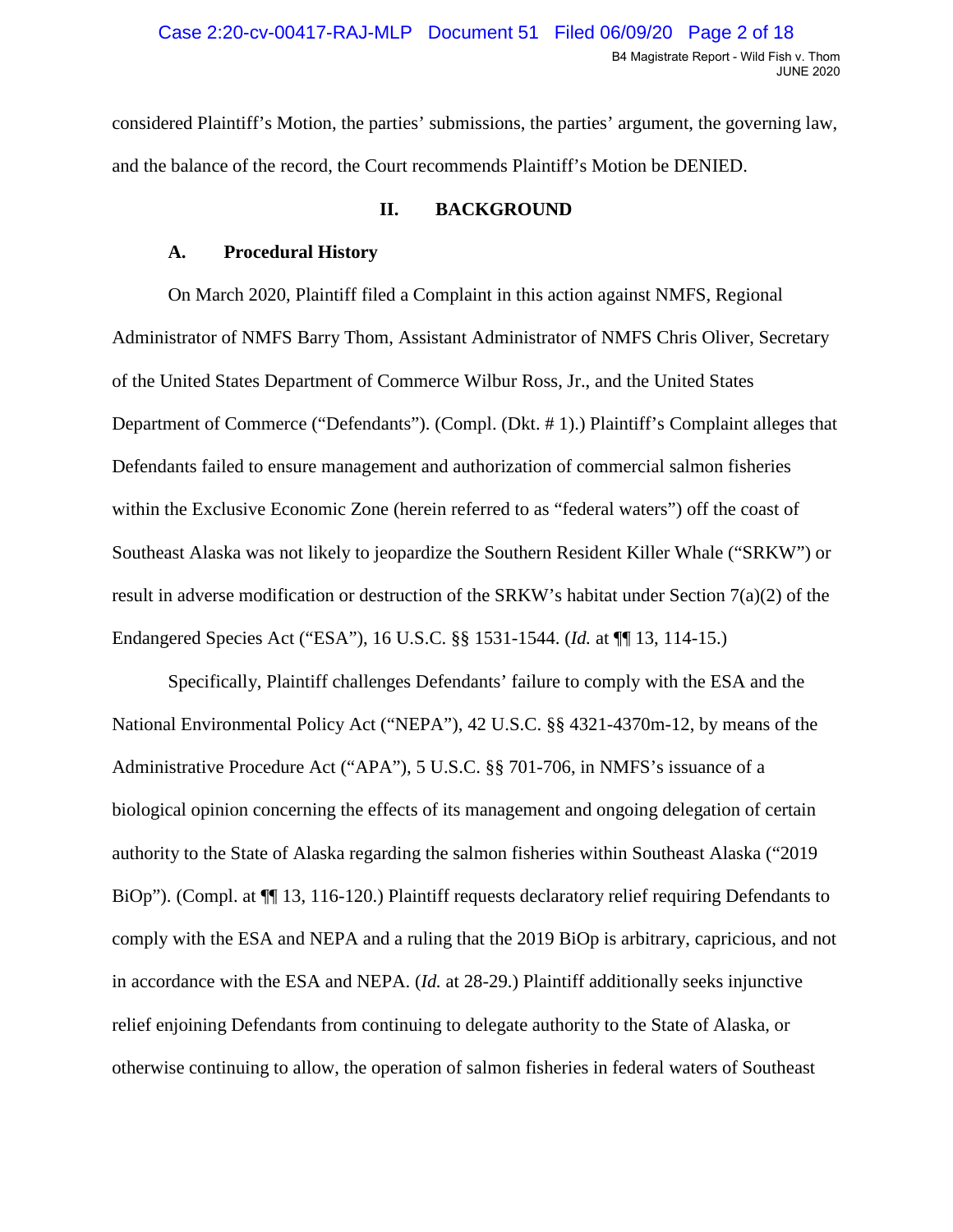<span id="page-1-0"></span>considered Plaintiff's Motion, the parties' submissions, the parties' argument, the governing law, and the balance of the record, the Court recommends Plaintiff's Motion be DENIED.

### **II. BACKGROUND**

### **A. Procedural History**

 On March 2020, Plaintiff filed a Complaint in this action against NMFS, Regional Defendants failed to ensure management and authorization of commercial salmon fisheries within the Exclusive Economic Zone (herein referred to as "federal waters") off the coast of Administrator of NMFS Barry Thom, Assistant Administrator of NMFS Chris Oliver, Secretary of the United States Department of Commerce Wilbur Ross, Jr., and the United States Department of Commerce ("Defendants"). (Compl. (Dkt. # 1).) Plaintiff's Complaint alleges that Southeast Alaska was not likely to jeopardize the Southern Resident Killer Whale ("SRKW") or result in adverse modification or destruction of the SRKW's habitat under Section 7(a)(2) of the Endangered Species Act ("ESA"), 16 U.S.C. §§ 1531-1544. (*Id.* at ¶¶ 13, 114-15.)

BiOp"). (Compl. at  $\P$  13, 116-120.) Plaintiff requests declaratory relief requiring Defendants to otherwise continuing to allow, the operation of salmon fisheries in federal waters of Southeast Specifically, Plaintiff challenges Defendants' failure to comply with the ESA and the National Environmental Policy Act ("NEPA"), 42 U.S.C. §§ 4321-4370m-12, by means of the Administrative Procedure Act ("APA"), 5 U.S.C. §§ 701-706, in NMFS's issuance of a biological opinion concerning the effects of its management and ongoing delegation of certain authority to the State of Alaska regarding the salmon fisheries within Southeast Alaska ("2019 comply with the ESA and NEPA and a ruling that the 2019 BiOp is arbitrary, capricious, and not in accordance with the ESA and NEPA. (*Id.* at 28-29.) Plaintiff additionally seeks injunctive relief enjoining Defendants from continuing to delegate authority to the State of Alaska, or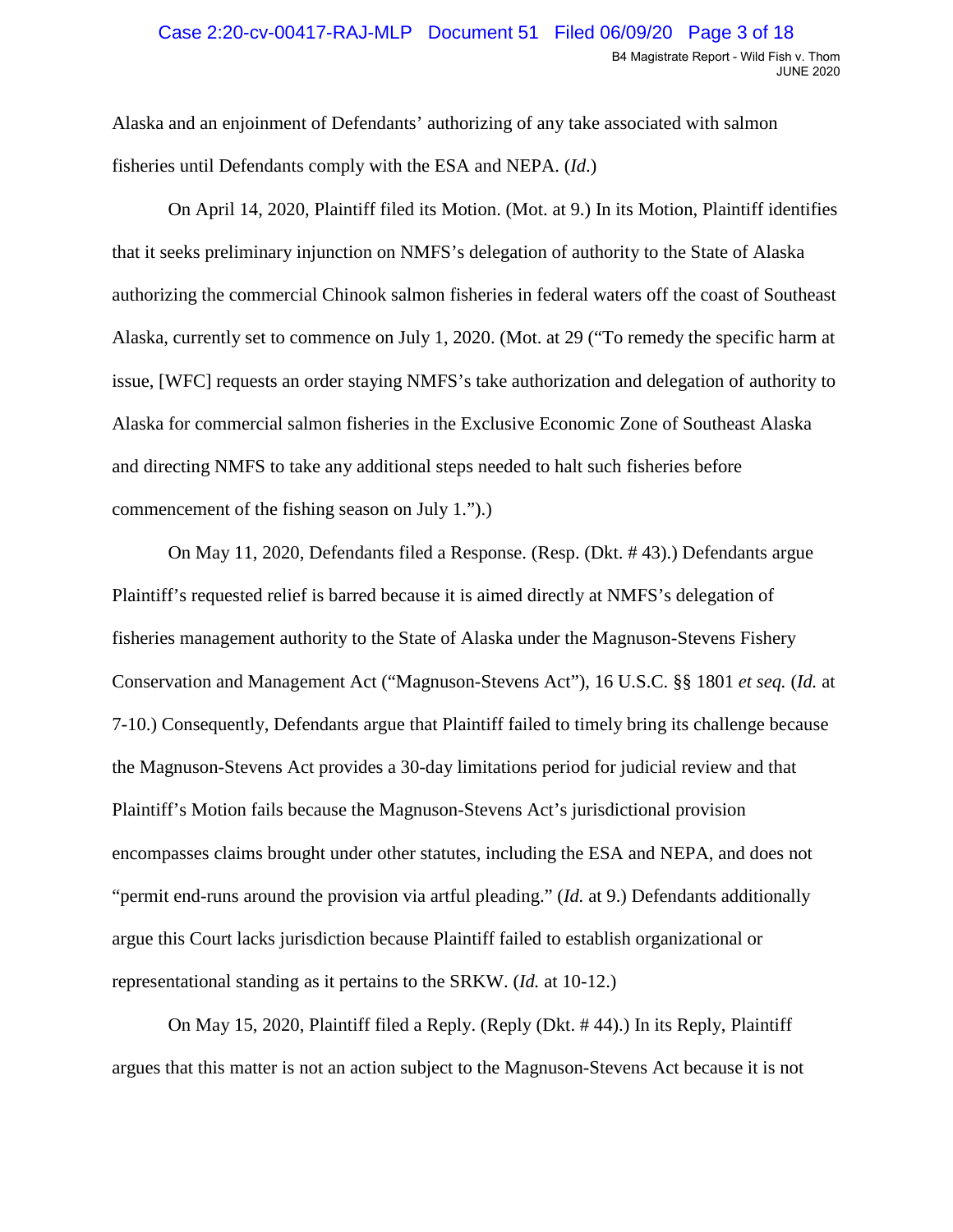Alaska and an enjoinment of Defendants' authorizing of any take associated with salmon fisheries until Defendants comply with the ESA and NEPA. (*Id.*)

fisheries until Defendants comply with the ESA and NEPA. (*Id*.) On April 14, 2020, Plaintiff filed its Motion. (Mot. at 9.) In its Motion, Plaintiff identifies that it seeks preliminary injunction on NMFS's delegation of authority to the State of Alaska authorizing the commercial Chinook salmon fisheries in federal waters off the coast of Southeast Alaska, currently set to commence on July 1, 2020. (Mot. at 29 ("To remedy the specific harm at issue, [WFC] requests an order staying NMFS's take authorization and delegation of authority to Alaska for commercial salmon fisheries in the Exclusive Economic Zone of Southeast Alaska and directing NMFS to take any additional steps needed to halt such fisheries before commencement of the fishing season on July 1.").)

 Conservation and Management Act ("Magnuson-Stevens Act"), 16 U.S.C. §§ 1801 *et seq.* (*Id.* at representational standing as it pertains to the SRKW. (*Id.* at 10-12.) On May 11, 2020, Defendants filed a Response. (Resp. (Dkt. # 43).) Defendants argue Plaintiff's requested relief is barred because it is aimed directly at NMFS's delegation of fisheries management authority to the State of Alaska under the Magnuson-Stevens Fishery 7-10.) Consequently, Defendants argue that Plaintiff failed to timely bring its challenge because the Magnuson-Stevens Act provides a 30-day limitations period for judicial review and that Plaintiff's Motion fails because the Magnuson-Stevens Act's jurisdictional provision encompasses claims brought under other statutes, including the ESA and NEPA, and does not "permit end-runs around the provision via artful pleading." (*Id.* at 9.) Defendants additionally argue this Court lacks jurisdiction because Plaintiff failed to establish organizational or

On May 15, 2020, Plaintiff filed a Reply. (Reply (Dkt. # 44).) In its Reply, Plaintiff argues that this matter is not an action subject to the Magnuson-Stevens Act because it is not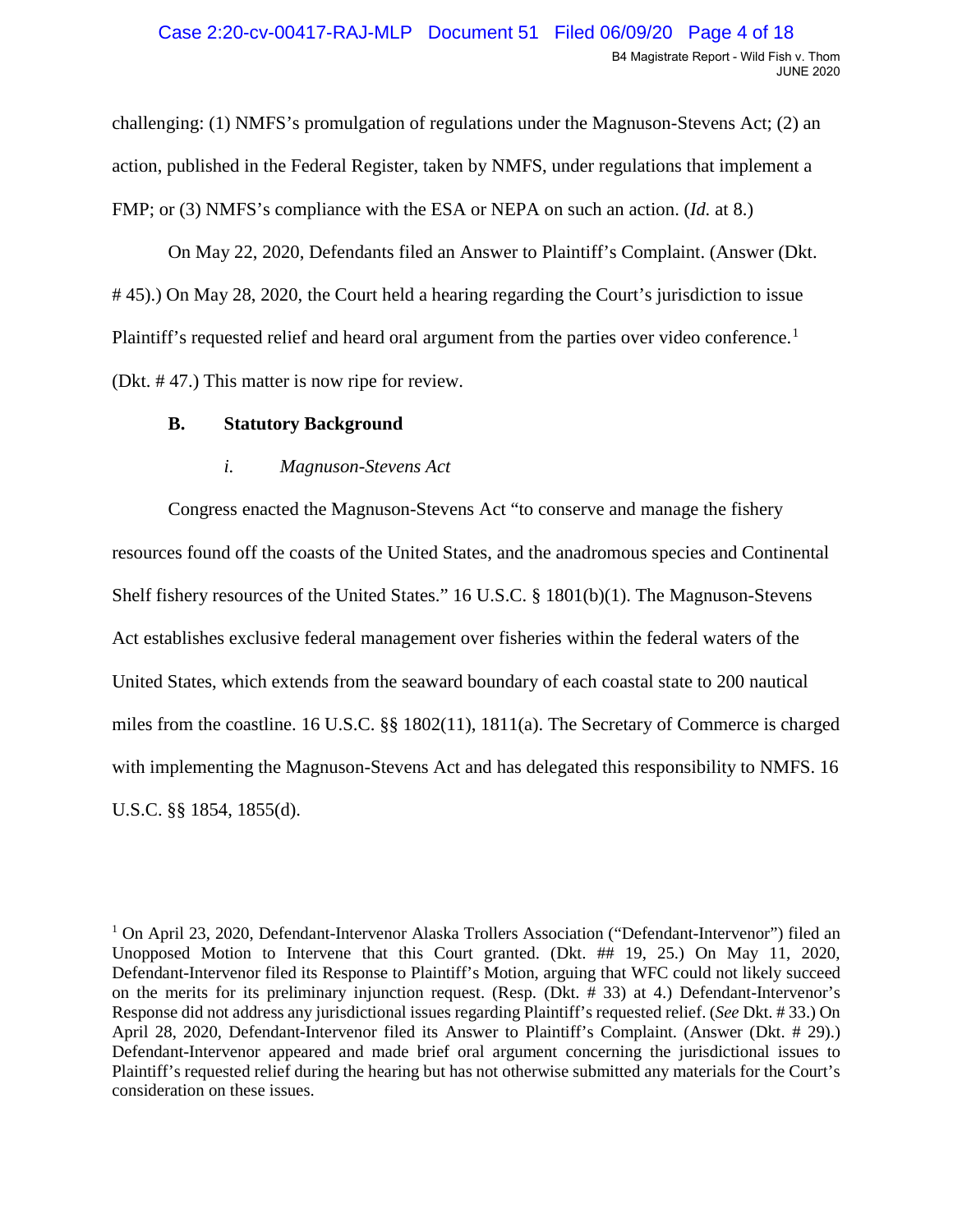challenging: (1) NMFS's promulgation of regulations under the Magnuson-Stevens Act; (2) an action, published in the Federal Register, taken by NMFS, under regulations that implement a

FMP; or (3) NMFS's compliance with the ESA or NEPA on such an action. (*Id.* at 8.)<br>On May 22, 2020, Defendants filed an Answer to Plaintiff's Complaint. (Answer (Dkt. (Dkt. # 47.) This matter is now ripe for review. # 45).) On May 28, 2020, the Court held a hearing regarding the Court's jurisdiction to issue Plaintiff's requested relief and heard oral argument from the parties over video conference.<sup>[1](#page-3-0)</sup>

## **B. Statutory Background**

## *i. Magnuson-Stevens Act*

 with implementing the Magnuson-Stevens Act and has delegated this responsibility to NMFS. 16 Congress enacted the Magnuson-Stevens Act "to conserve and manage the fishery resources found off the coasts of the United States, and the anadromous species and Continental Shelf fishery resources of the United States." 16 U.S.C. § 1801(b)(1). The Magnuson-Stevens Act establishes exclusive federal management over fisheries within the federal waters of the United States, which extends from the seaward boundary of each coastal state to 200 nautical miles from the coastline. 16 U.S.C. §§ 1802(11), 1811(a). The Secretary of Commerce is charged U.S.C. §§ 1854, 1855(d).

<span id="page-3-0"></span><sup>1</sup> On April 23, 2020, Defendant-Intervenor Alaska Trollers Association ("Defendant-Intervenor") filed an Unopposed Motion to Intervene that this Court granted. (Dkt. ## 19, 25.) On May 11, 2020, Defendant-Intervenor filed its Response to Plaintiff's Motion, arguing that WFC could not likely succeed Response did not address any jurisdictional issues regarding Plaintiff's requested relief. (*See* Dkt. # 33.) On Defendant-Intervenor appeared and made brief oral argument concerning the jurisdictional issues to consideration on these issues. on the merits for its preliminary injunction request. (Resp. (Dkt. # 33) at 4.) Defendant-Intervenor's April 28, 2020, Defendant-Intervenor filed its Answer to Plaintiff's Complaint. (Answer (Dkt. # 29).) Plaintiff's requested relief during the hearing but has not otherwise submitted any materials for the Court's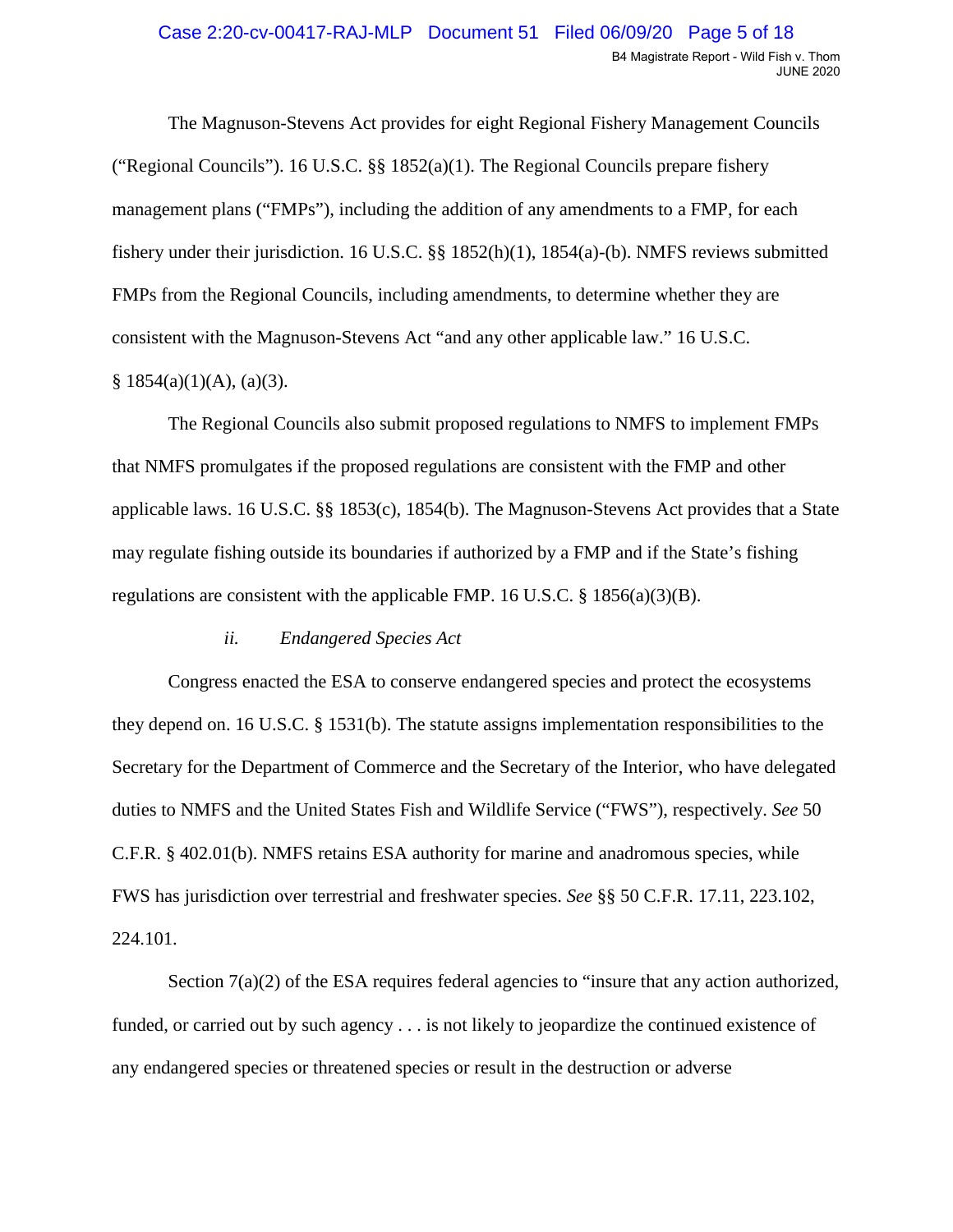fishery under their jurisdiction. 16 U.S.C. §§ 1852(h)(1), 1854(a)-(b). NMFS reviews submitted  $§ 1854(a)(1)(A), (a)(3).$ The Magnuson-Stevens Act provides for eight Regional Fishery Management Councils ("Regional Councils"). 16 U.S.C. §§ 1852(a)(1). The Regional Councils prepare fishery management plans ("FMPs"), including the addition of any amendments to a FMP, for each FMPs from the Regional Councils, including amendments, to determine whether they are consistent with the Magnuson-Stevens Act "and any other applicable law." 16 U.S.C.

The Regional Councils also submit proposed regulations to NMFS to implement FMPs that NMFS promulgates if the proposed regulations are consistent with the FMP and other applicable laws. 16 U.S.C. §§ 1853(c), 1854(b). The Magnuson-Stevens Act provides that a State may regulate fishing outside its boundaries if authorized by a FMP and if the State's fishing regulations are consistent with the applicable FMP. 16 U.S.C.  $\S$  1856(a)(3)(B).

### *ii. Endangered Species Act*

Congress enacted the ESA to conserve endangered species and protect the ecosystems they depend on. 16 U.S.C. § 1531(b). The statute assigns implementation responsibilities to the Secretary for the Department of Commerce and the Secretary of the Interior, who have delegated duties to NMFS and the United States Fish and Wildlife Service ("FWS"), respectively. *See* 50 C.F.R. § 402.01(b). NMFS retains ESA authority for marine and anadromous species, while FWS has jurisdiction over terrestrial and freshwater species. *See* §§ 50 C.F.R. 17.11, 223.102, 224.101.

Section  $7(a)(2)$  of the ESA requires federal agencies to "insure that any action authorized, funded, or carried out by such agency . . . is not likely to jeopardize the continued existence of any endangered species or threatened species or result in the destruction or adverse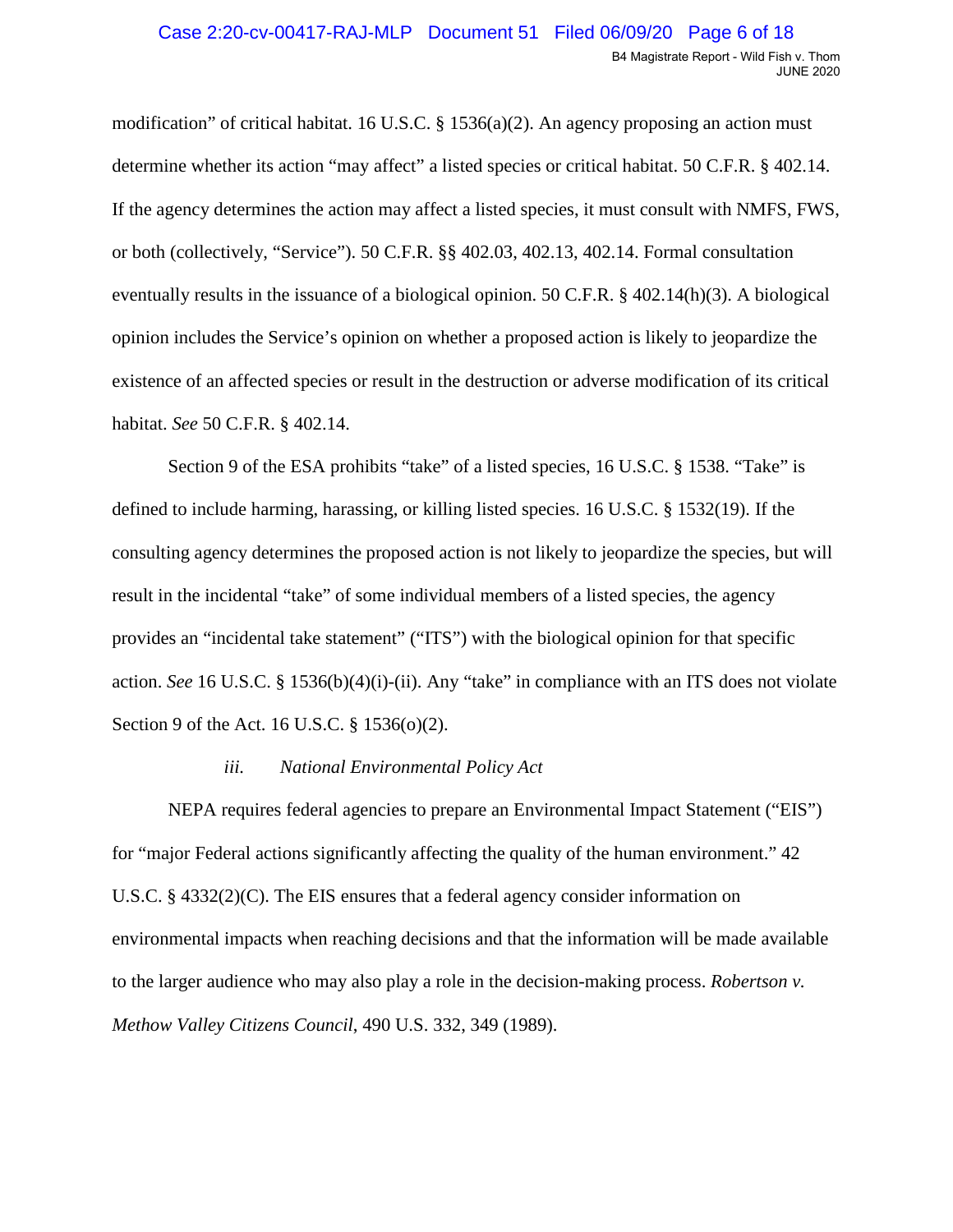determine whether its action "may affect" a listed species or critical habitat. 50 C.F.R. § 402.14. modification" of critical habitat. 16 U.S.C. § 1536(a)(2). An agency proposing an action must If the agency determines the action may affect a listed species, it must consult with NMFS, FWS, or both (collectively, "Service"). 50 C.F.R. §§ 402.03, 402.13, 402.14. Formal consultation eventually results in the issuance of a biological opinion. 50 C.F.R. § 402.14(h)(3). A biological opinion includes the Service's opinion on whether a proposed action is likely to jeopardize the existence of an affected species or result in the destruction or adverse modification of its critical habitat. *See* 50 C.F.R. § 402.14.

 consulting agency determines the proposed action is not likely to jeopardize the species, but will Section 9 of the ESA prohibits "take" of a listed species, 16 U.S.C. § 1538. "Take" is defined to include harming, harassing, or killing listed species. 16 U.S.C. § 1532(19). If the result in the incidental "take" of some individual members of a listed species, the agency provides an "incidental take statement" ("ITS") with the biological opinion for that specific action. *See* 16 U.S.C. § 1536(b)(4)(i)-(ii). Any "take" in compliance with an ITS does not violate Section 9 of the Act. 16 U.S.C. § 1536(o)(2).

### *iii. National Environmental Policy Act*

 for "major Federal actions significantly affecting the quality of the human environment." 42 to the larger audience who may also play a role in the decision-making process. *Robertson v.*  NEPA requires federal agencies to prepare an Environmental Impact Statement ("EIS") U.S.C.  $\S$  4332(2)(C). The EIS ensures that a federal agency consider information on environmental impacts when reaching decisions and that the information will be made available *Methow Valley Citizens Council*, 490 U.S. 332, 349 (1989).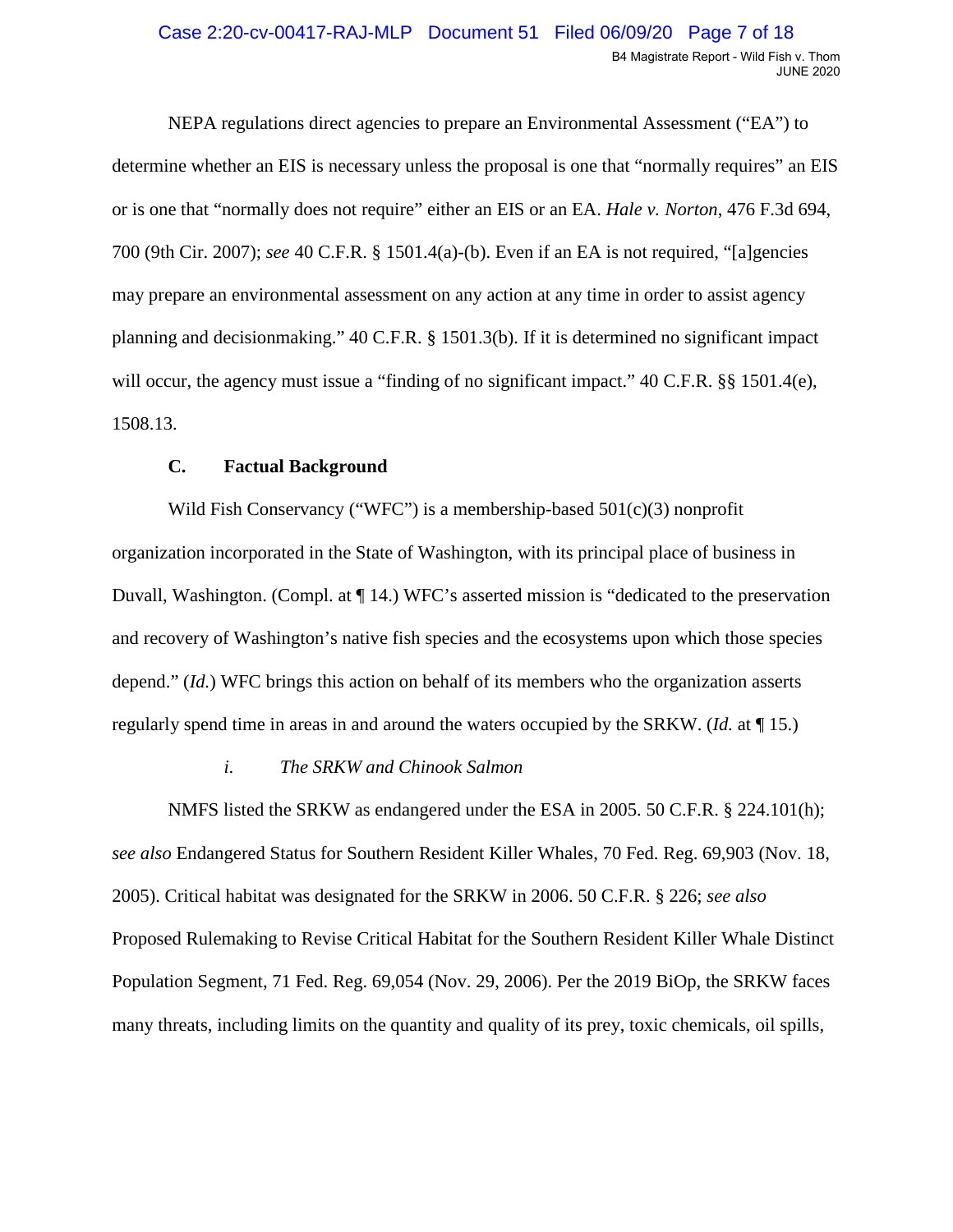or is one that "normally does not require" either an EIS or an EA. *Hale v. Norton*, 476 F.3d 694, 700 (9th Cir. 2007); *see* 40 C.F.R. § 1501.4(a)-(b). Even if an EA is not required, "[a]gencies NEPA regulations direct agencies to prepare an Environmental Assessment ("EA") to determine whether an EIS is necessary unless the proposal is one that "normally requires" an EIS may prepare an environmental assessment on any action at any time in order to assist agency planning and decisionmaking." 40 C.F.R. § 1501.3(b). If it is determined no significant impact will occur, the agency must issue a "finding of no significant impact." 40 C.F.R. §§ 1501.4(e), 1508.13.

### **C. Factual Background**

 Wild Fish Conservancy ("WFC") is a membership-based 501(c)(3) nonprofit organization incorporated in the State of Washington, with its principal place of business in Duvall, Washington. (Compl. at ¶ 14.) WFC's asserted mission is "dedicated to the preservation and recovery of Washington's native fish species and the ecosystems upon which those species depend." (*Id.*) WFC brings this action on behalf of its members who the organization asserts regularly spend time in areas in and around the waters occupied by the SRKW. (*Id.* at ¶ 15.)

#### *i. The SRKW and Chinook Salmon*

 2005). Critical habitat was designated for the SRKW in 2006. 50 C.F.R. § 226; *see also*  NMFS listed the SRKW as endangered under the ESA in 2005. 50 C.F.R. § 224.101(h); *see also* Endangered Status for Southern Resident Killer Whales, 70 Fed. Reg. 69,903 (Nov. 18, Proposed Rulemaking to Revise Critical Habitat for the Southern Resident Killer Whale Distinct Population Segment, 71 Fed. Reg. 69,054 (Nov. 29, 2006). Per the 2019 BiOp, the SRKW faces many threats, including limits on the quantity and quality of its prey, toxic chemicals, oil spills,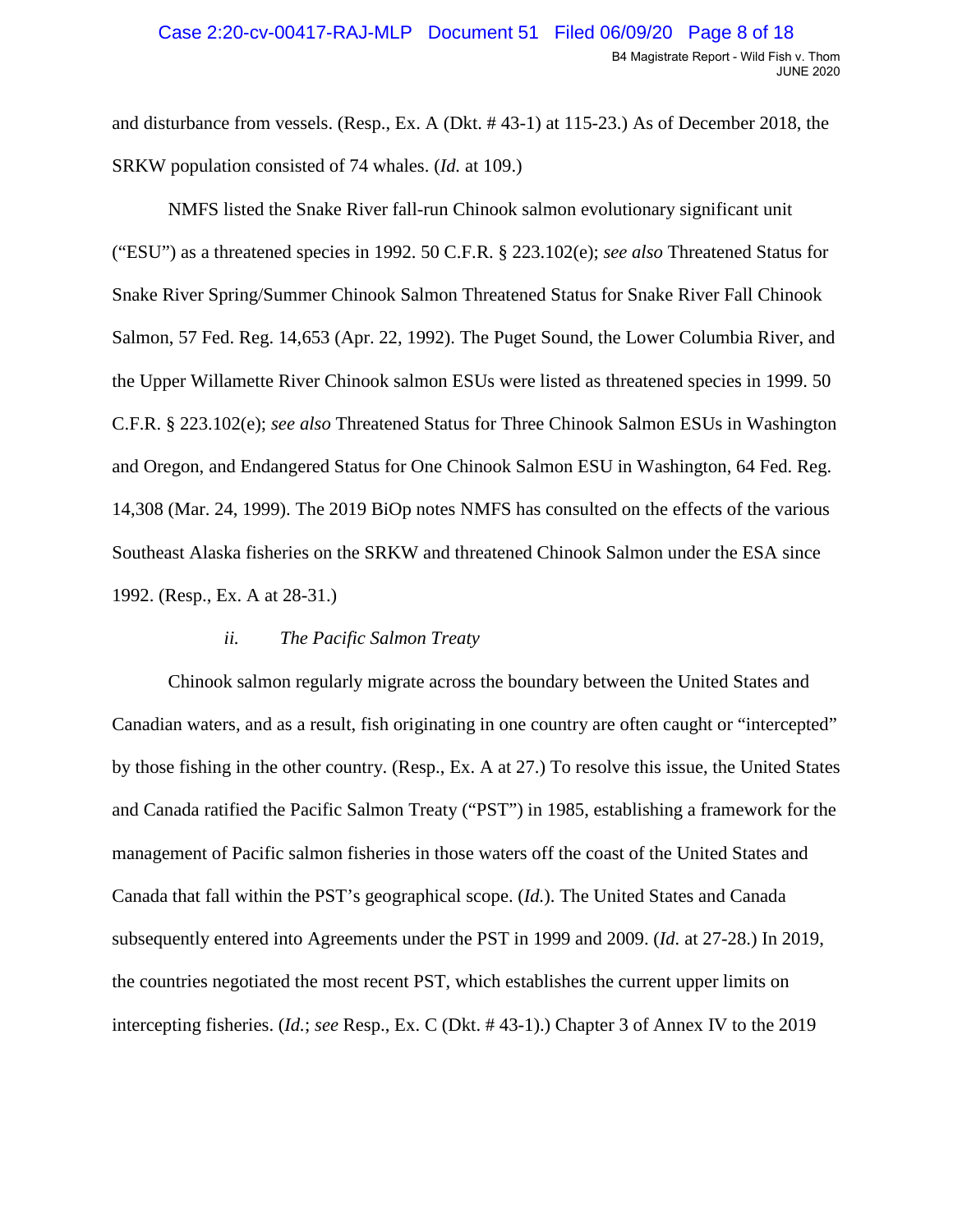SRKW population consisted of 74 whales. (*Id.* at 109.) and disturbance from vessels. (Resp., Ex. A (Dkt. # 43-1) at 115-23.) As of December 2018, the

 ("ESU") as a threatened species in 1992. 50 C.F.R. § 223.102(e); *see also* Threatened Status for Salmon, 57 Fed. Reg. 14,653 (Apr. 22, 1992). The Puget Sound, the Lower Columbia River, and 14,308 (Mar. 24, 1999). The 2019 BiOp notes NMFS has consulted on the effects of the various 1992. (Resp., Ex. A at 28-31.) NMFS listed the Snake River fall-run Chinook salmon evolutionary significant unit Snake River Spring/Summer Chinook Salmon Threatened Status for Snake River Fall Chinook the Upper Willamette River Chinook salmon ESUs were listed as threatened species in 1999. 50 C.F.R. § 223.102(e); *see also* Threatened Status for Three Chinook Salmon ESUs in Washington and Oregon, and Endangered Status for One Chinook Salmon ESU in Washington, 64 Fed. Reg. Southeast Alaska fisheries on the SRKW and threatened Chinook Salmon under the ESA since

### *ii. The Pacific Salmon Treaty*

 Canadian waters, and as a result, fish originating in one country are often caught or "intercepted" and Canada ratified the Pacific Salmon Treaty ("PST") in 1985, establishing a framework for the subsequently entered into Agreements under the PST in 1999 and 2009. (*Id.* at 27-28.) In 2019, Chinook salmon regularly migrate across the boundary between the United States and by those fishing in the other country. (Resp., Ex. A at 27.) To resolve this issue, the United States management of Pacific salmon fisheries in those waters off the coast of the United States and Canada that fall within the PST's geographical scope. (*Id.*). The United States and Canada the countries negotiated the most recent PST, which establishes the current upper limits on intercepting fisheries. (*Id.*; *see* Resp., Ex. C (Dkt. # 43-1).) Chapter 3 of Annex IV to the 2019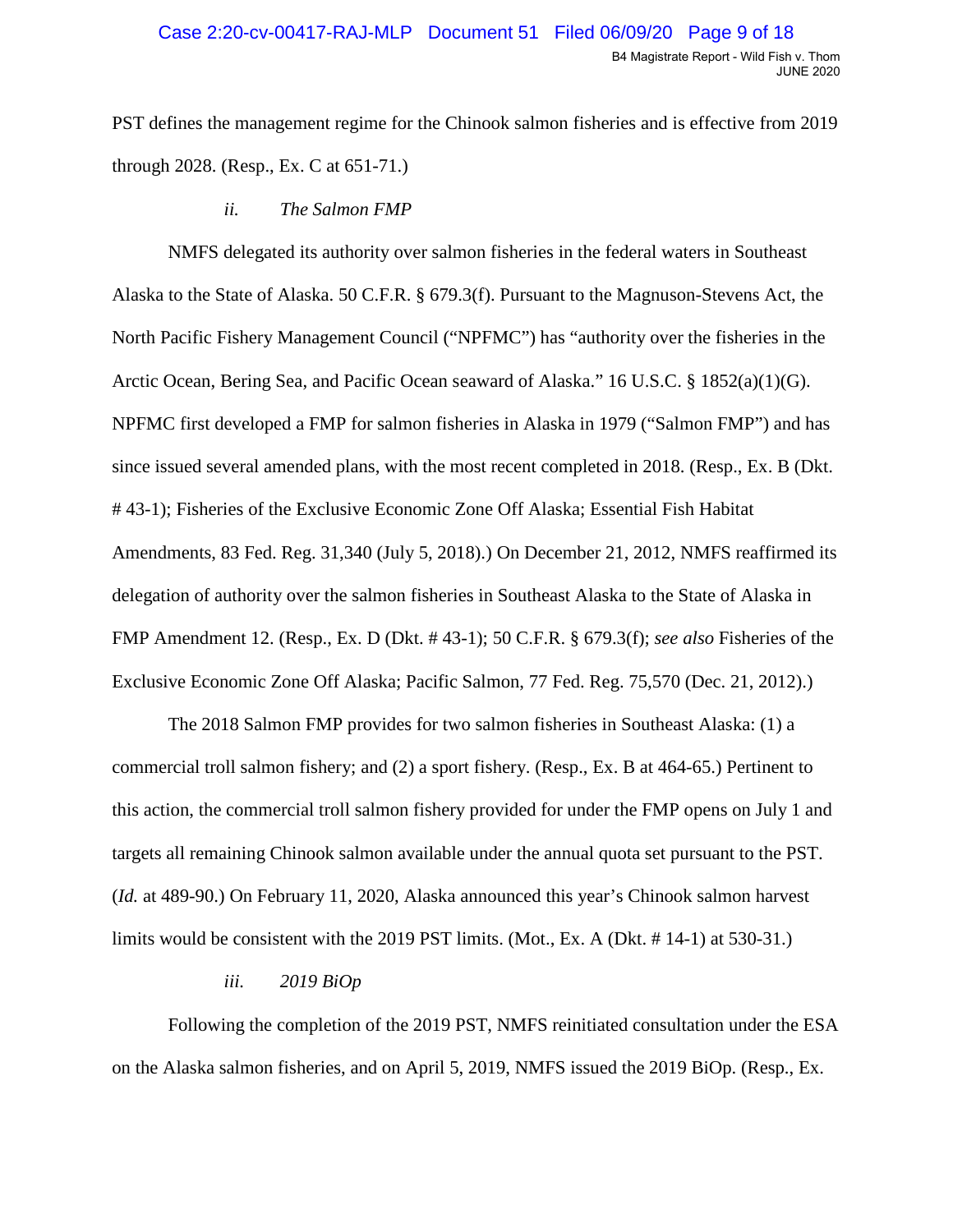PST defines the management regime for the Chinook salmon fisheries and is effective from 2019 through 2028. (Resp., Ex. C at 651-71.)

 *ii. The Salmon FMP* 

 FMP Amendment 12. (Resp., Ex. D (Dkt. # 43-1); 50 C.F.R. § 679.3(f); *see also* Fisheries of the NMFS delegated its authority over salmon fisheries in the federal waters in Southeast Alaska to the State of Alaska. 50 C.F.R. § 679.3(f). Pursuant to the Magnuson-Stevens Act, the North Pacific Fishery Management Council ("NPFMC") has "authority over the fisheries in the Arctic Ocean, Bering Sea, and Pacific Ocean seaward of Alaska." 16 U.S.C. § 1852(a)(1)(G). NPFMC first developed a FMP for salmon fisheries in Alaska in 1979 ("Salmon FMP") and has since issued several amended plans, with the most recent completed in 2018. (Resp., Ex. B (Dkt. # 43-1); Fisheries of the Exclusive Economic Zone Off Alaska; Essential Fish Habitat Amendments, 83 Fed. Reg. 31,340 (July 5, 2018).) On December 21, 2012, NMFS reaffirmed its delegation of authority over the salmon fisheries in Southeast Alaska to the State of Alaska in

 Exclusive Economic Zone Off Alaska; Pacific Salmon, 77 Fed. Reg. 75,570 (Dec. 21, 2012).) The 2018 Salmon FMP provides for two salmon fisheries in Southeast Alaska: (1) a commercial troll salmon fishery; and (2) a sport fishery. (Resp., Ex. B at 464-65.) Pertinent to this action, the commercial troll salmon fishery provided for under the FMP opens on July 1 and targets all remaining Chinook salmon available under the annual quota set pursuant to the PST. (*Id.* at 489-90.) On February 11, 2020, Alaska announced this year's Chinook salmon harvest limits would be consistent with the 2019 PST limits. (Mot., Ex. A (Dkt. # 14-1) at 530-31.)

### *iii. 2019 BiOp*

Following the completion of the 2019 PST, NMFS reinitiated consultation under the ESA on the Alaska salmon fisheries, and on April 5, 2019, NMFS issued the 2019 BiOp. (Resp., Ex.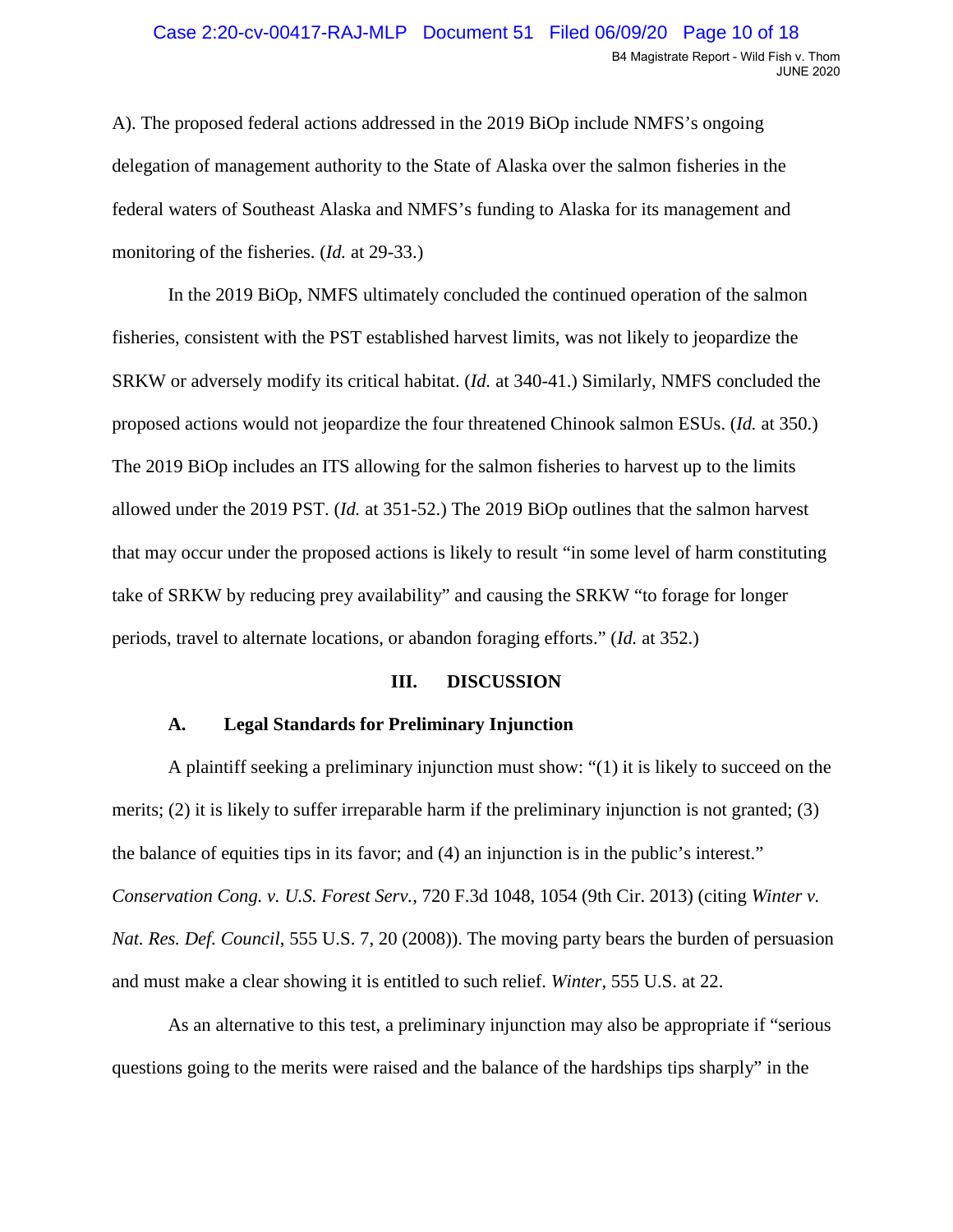#### Case 2:20-cv-00417-RAJ-MLP Document 51 Filed 06/09/20 Page 10 of 18 B4 Magistrate Report - Wild Fish v. Thom JUNE 2020

 monitoring of the fisheries. (*Id.* at 29-33.) A). The proposed federal actions addressed in the 2019 BiOp include NMFS's ongoing delegation of management authority to the State of Alaska over the salmon fisheries in the federal waters of Southeast Alaska and NMFS's funding to Alaska for its management and

 The 2019 BiOp includes an ITS allowing for the salmon fisheries to harvest up to the limits periods, travel to alternate locations, or abandon foraging efforts." (*Id.* at 352.) In the 2019 BiOp, NMFS ultimately concluded the continued operation of the salmon fisheries, consistent with the PST established harvest limits, was not likely to jeopardize the SRKW or adversely modify its critical habitat. (*Id.* at 340-41.) Similarly, NMFS concluded the proposed actions would not jeopardize the four threatened Chinook salmon ESUs. (*Id.* at 350.) allowed under the 2019 PST. (*Id.* at 351-52.) The 2019 BiOp outlines that the salmon harvest that may occur under the proposed actions is likely to result "in some level of harm constituting take of SRKW by reducing prey availability" and causing the SRKW "to forage for longer

### **III. DISCUSSION**

### **A. Legal Standards for Preliminary Injunction**

A plaintiff seeking a preliminary injunction must show: "(1) it is likely to succeed on the merits; (2) it is likely to suffer irreparable harm if the preliminary injunction is not granted; (3) the balance of equities tips in its favor; and (4) an injunction is in the public's interest." *Conservation Cong. v. U.S. Forest Serv.*, 720 F.3d 1048, 1054 (9th Cir. 2013) (citing *Winter v. Nat. Res. Def. Council*, 555 U.S. 7, 20 (2008)). The moving party bears the burden of persuasion and must make a clear showing it is entitled to such relief. *Winter*, 555 U.S. at 22.

As an alternative to this test, a preliminary injunction may also be appropriate if "serious questions going to the merits were raised and the balance of the hardships tips sharply" in the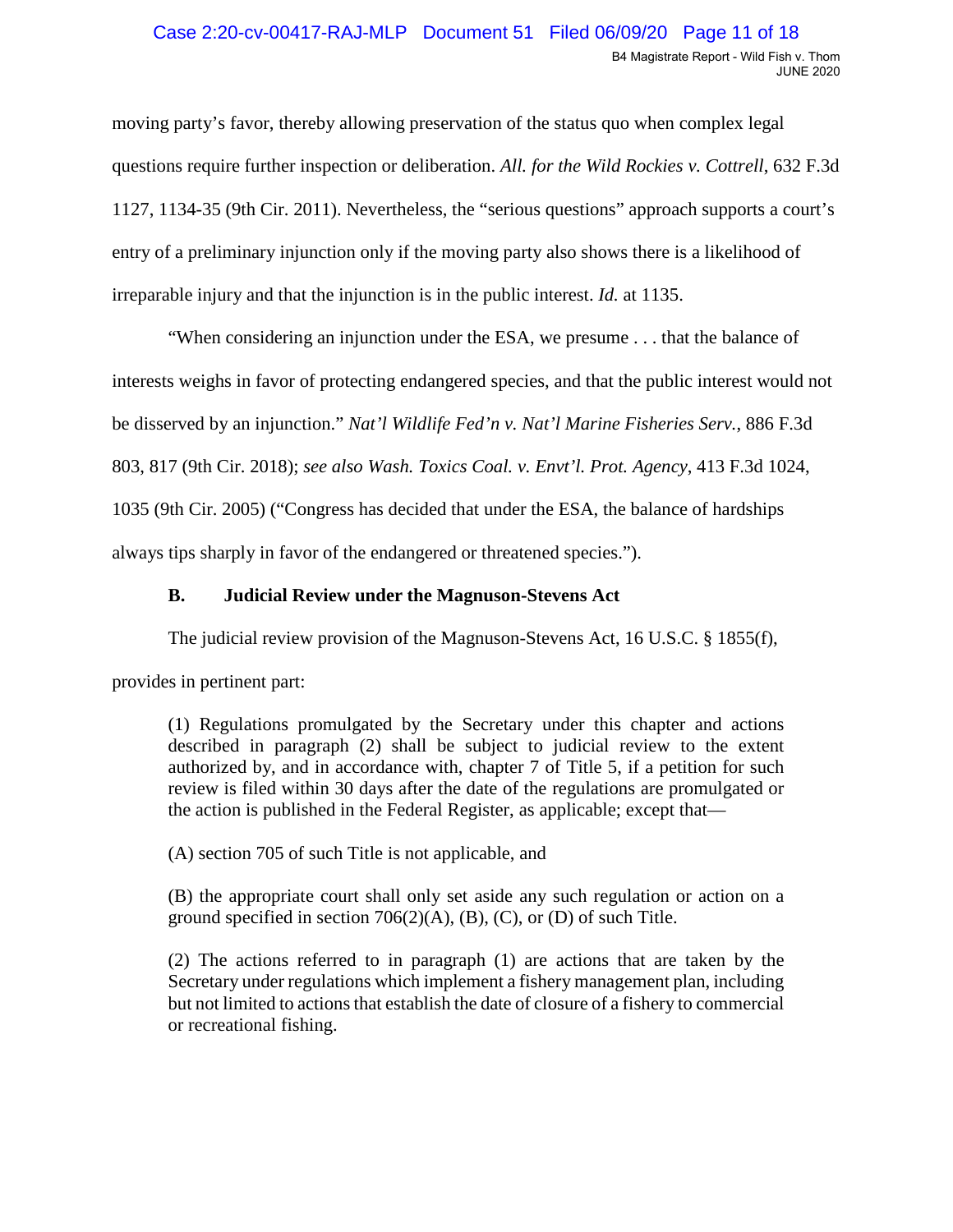#### Case 2:20-cv-00417-RAJ-MLP Document 51 Filed 06/09/20 Page 11 of 18 B4 Magistrate Report - Wild Fish v. Thom JUNE 2020

 1127, 1134-35 (9th Cir. 2011). Nevertheless, the "serious questions" approach supports a court's moving party's favor, thereby allowing preservation of the status quo when complex legal questions require further inspection or deliberation. *All. for the Wild Rockies v. Cottrell*, 632 F.3d entry of a preliminary injunction only if the moving party also shows there is a likelihood of irreparable injury and that the injunction is in the public interest. *Id.* at 1135.

 "When considering an injunction under the ESA, we presume . . . that the balance of 803, 817 (9th Cir. 2018); *see also Wash. Toxics Coal. v. Envt'l. Prot. Agency*, 413 F.3d 1024, always tips sharply in favor of the endangered or threatened species."). interests weighs in favor of protecting endangered species, and that the public interest would not be disserved by an injunction." *Nat'l Wildlife Fed'n v. Nat'l Marine Fisheries Serv.*, 886 F.3d 1035 (9th Cir. 2005) ("Congress has decided that under the ESA, the balance of hardships

## **B. Judicial Review under the Magnuson-Stevens Act**

The judicial review provision of the Magnuson-Stevens Act, 16 U.S.C. § 1855(f),

provides in pertinent part:

 the action is published in the Federal Register, as applicable; except that provides in pertinent part: (1) Regulations promulgated by the Secretary under this chapter and actions described in paragraph (2) shall be subject to judicial review to the extent authorized by, and in accordance with, chapter 7 of Title 5, if a petition for such review is filed within 30 days after the date of the regulations are promulgated or

(A) section 705 of such Title is not applicable, and

 (B) the appropriate court shall only set aside any such regulation or action on a ground specified in section  $706(2)(A)$ ,  $(B)$ ,  $(C)$ , or  $(D)$  of such Title.

 or recreational fishing. (2) The actions referred to in paragraph (1) are actions that are taken by the Secretary under regulations which implement a fishery management plan, including but not limited to actions that establish the date of closure of a fishery to commercial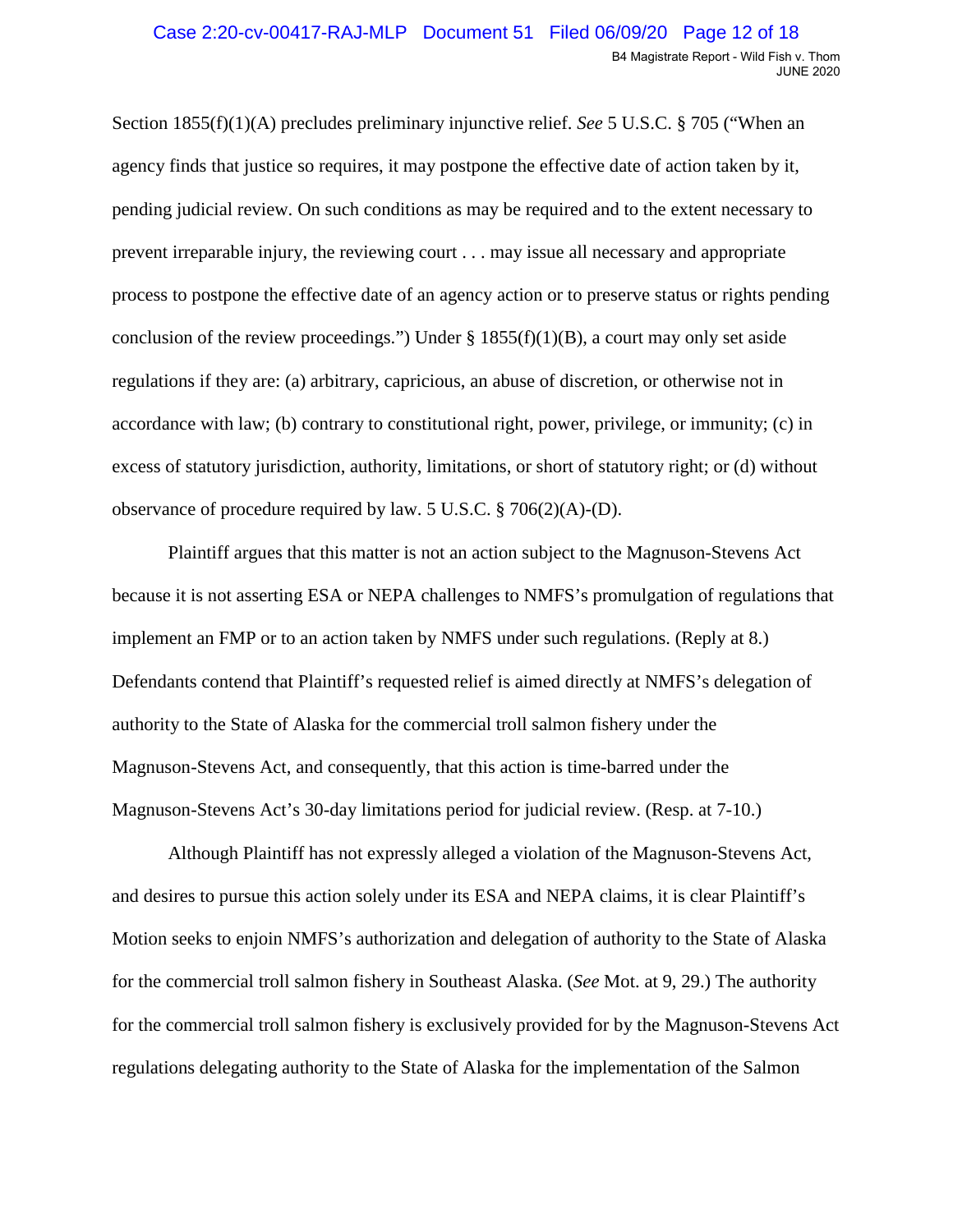process to postpone the effective date of an agency action or to preserve status or rights pending excess of statutory jurisdiction, authority, limitations, or short of statutory right; or (d) without Section 1855(f)(1)(A) precludes preliminary injunctive relief. *See* 5 U.S.C. § 705 ("When an agency finds that justice so requires, it may postpone the effective date of action taken by it, pending judicial review. On such conditions as may be required and to the extent necessary to prevent irreparable injury, the reviewing court . . . may issue all necessary and appropriate conclusion of the review proceedings.") Under  $\S 1855(f)(1)(B)$ , a court may only set aside regulations if they are: (a) arbitrary, capricious, an abuse of discretion, or otherwise not in accordance with law; (b) contrary to constitutional right, power, privilege, or immunity; (c) in observance of procedure required by law. 5 U.S.C. § 706(2)(A)-(D).

 implement an FMP or to an action taken by NMFS under such regulations. (Reply at 8.) Magnuson-Stevens Act's 30-day limitations period for judicial review. (Resp. at 7-10.) Plaintiff argues that this matter is not an action subject to the Magnuson-Stevens Act because it is not asserting ESA or NEPA challenges to NMFS's promulgation of regulations that Defendants contend that Plaintiff's requested relief is aimed directly at NMFS's delegation of authority to the State of Alaska for the commercial troll salmon fishery under the Magnuson-Stevens Act, and consequently, that this action is time-barred under the

 and desires to pursue this action solely under its ESA and NEPA claims, it is clear Plaintiff's Although Plaintiff has not expressly alleged a violation of the Magnuson-Stevens Act, Motion seeks to enjoin NMFS's authorization and delegation of authority to the State of Alaska for the commercial troll salmon fishery in Southeast Alaska. (*See* Mot. at 9, 29.) The authority for the commercial troll salmon fishery is exclusively provided for by the Magnuson-Stevens Act regulations delegating authority to the State of Alaska for the implementation of the Salmon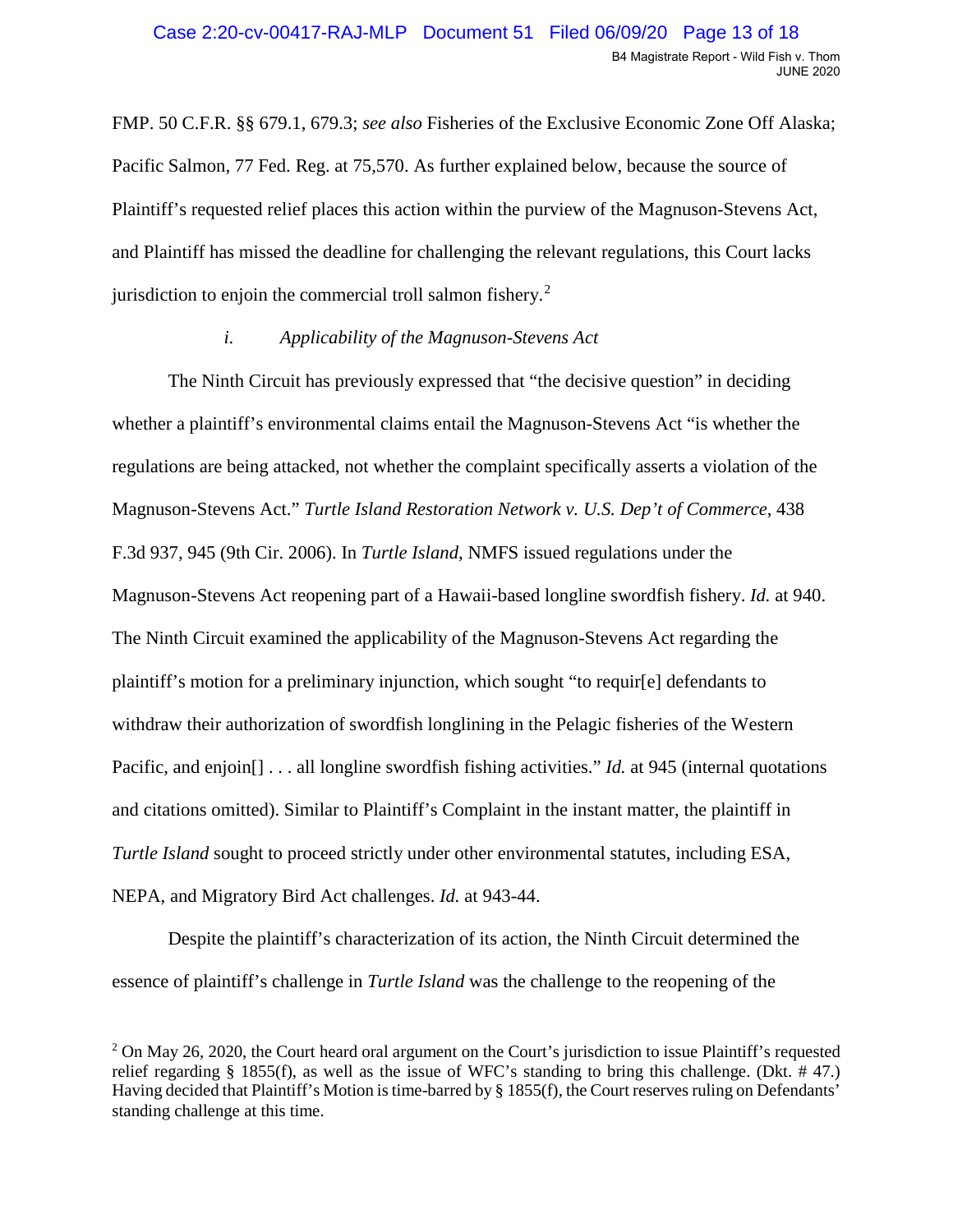FMP. 50 C.F.R. §§ 679.1, 679.3; *see also* Fisheries of the Exclusive Economic Zone Off Alaska; Pacific Salmon, 77 Fed. Reg. at 75,570. As further explained below, because the source of jurisdiction to enjoin the commercial troll salmon fishery.<sup>2</sup> Plaintiff's requested relief places this action within the purview of the Magnuson-Stevens Act, and Plaintiff has missed the deadline for challenging the relevant regulations, this Court lacks

### *i. Applicability of the Magnuson-Stevens Act*

 NEPA, and Migratory Bird Act challenges. *Id.* at 943-44. The Ninth Circuit has previously expressed that "the decisive question" in deciding whether a plaintiff's environmental claims entail the Magnuson-Stevens Act "is whether the regulations are being attacked, not whether the complaint specifically asserts a violation of the Magnuson-Stevens Act." *Turtle Island Restoration Network v. U.S. Dep't of Commerce*, 438 F.3d 937, 945 (9th Cir. 2006). In *Turtle Island*, NMFS issued regulations under the Magnuson-Stevens Act reopening part of a Hawaii-based longline swordfish fishery. *Id.* at 940. The Ninth Circuit examined the applicability of the Magnuson-Stevens Act regarding the plaintiff's motion for a preliminary injunction, which sought "to requir[e] defendants to withdraw their authorization of swordfish longlining in the Pelagic fisheries of the Western Pacific, and enjoin[] . . . all longline swordfish fishing activities." *Id.* at 945 (internal quotations and citations omitted). Similar to Plaintiff's Complaint in the instant matter, the plaintiff in *Turtle Island* sought to proceed strictly under other environmental statutes, including ESA,

Despite the plaintiff's characterization of its action, the Ninth Circuit determined the essence of plaintiff's challenge in *Turtle Island* was the challenge to the reopening of the

<span id="page-12-0"></span><sup>&</sup>lt;sup>2</sup> On May 26, 2020, the Court heard oral argument on the Court's jurisdiction to issue Plaintiff's requested standing challenge at this time. relief regarding § 1855(f), as well as the issue of WFC's standing to bring this challenge. (Dkt. # 47.) Having decided that Plaintiff's Motion is time-barred by § 1855(f), the Court reserves ruling on Defendants'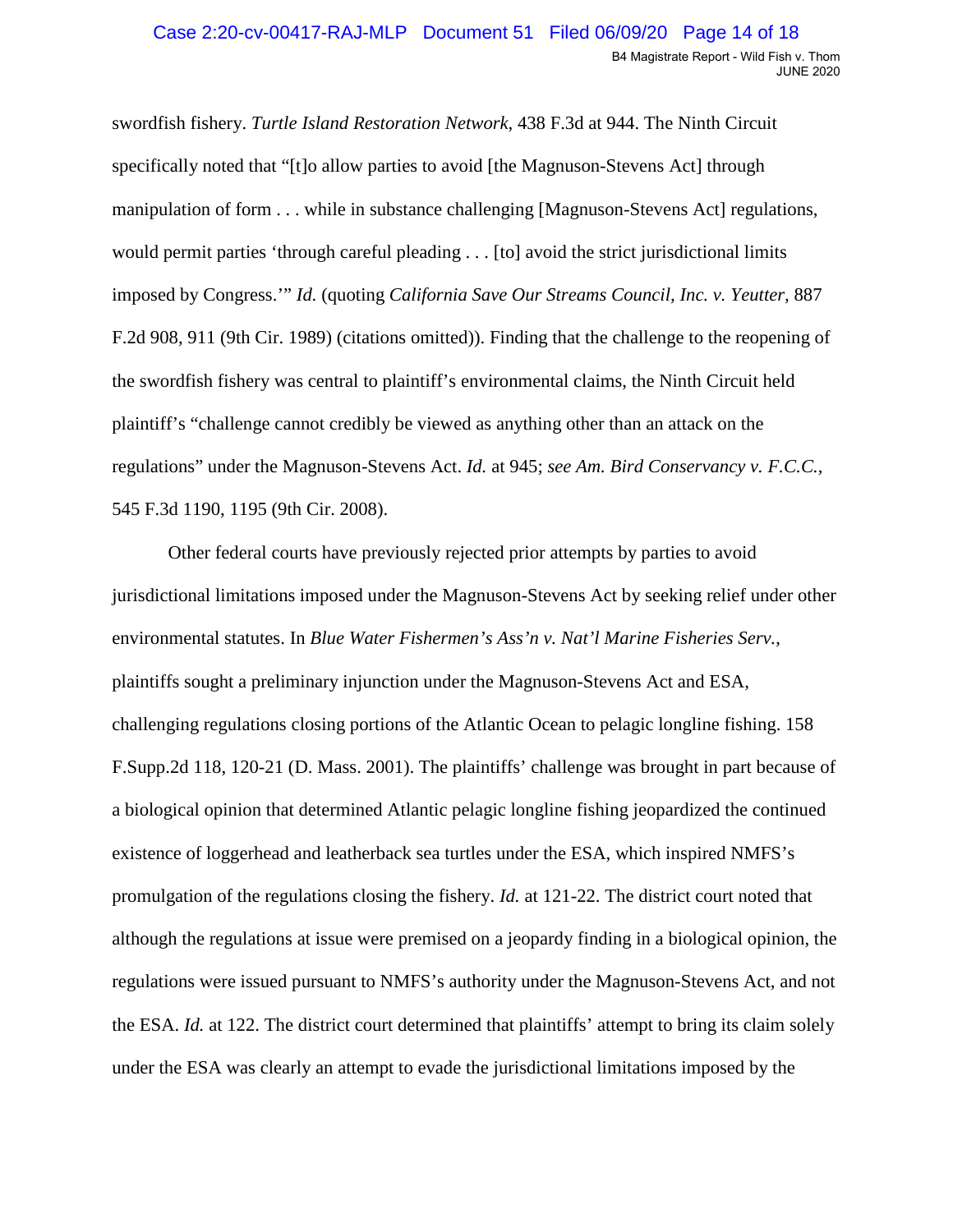imposed by Congress.'" *Id.* (quoting *California Save Our Streams Council, Inc. v. Yeutter,* 887 swordfish fishery. *Turtle Island Restoration Network*, 438 F.3d at 944. The Ninth Circuit specifically noted that "[t]o allow parties to avoid [the Magnuson-Stevens Act] through manipulation of form . . . while in substance challenging [Magnuson-Stevens Act] regulations, would permit parties 'through careful pleading . . . [to] avoid the strict jurisdictional limits F.2d 908, 911 (9th Cir. 1989) (citations omitted)). Finding that the challenge to the reopening of the swordfish fishery was central to plaintiff's environmental claims, the Ninth Circuit held plaintiff's "challenge cannot credibly be viewed as anything other than an attack on the regulations" under the Magnuson-Stevens Act. *Id.* at 945; *see Am. Bird Conservancy v. F.C.C.*, 545 F.3d 1190, 1195 (9th Cir. 2008).

 although the regulations at issue were premised on a jeopardy finding in a biological opinion, the Other federal courts have previously rejected prior attempts by parties to avoid jurisdictional limitations imposed under the Magnuson-Stevens Act by seeking relief under other environmental statutes. In *Blue Water Fishermen's Ass'n v. Nat'l Marine Fisheries Serv.*, plaintiffs sought a preliminary injunction under the Magnuson-Stevens Act and ESA, challenging regulations closing portions of the Atlantic Ocean to pelagic longline fishing. 158 F.Supp.2d 118, 120-21 (D. Mass. 2001). The plaintiffs' challenge was brought in part because of a biological opinion that determined Atlantic pelagic longline fishing jeopardized the continued existence of loggerhead and leatherback sea turtles under the ESA, which inspired NMFS's promulgation of the regulations closing the fishery. *Id.* at 121-22. The district court noted that regulations were issued pursuant to NMFS's authority under the Magnuson-Stevens Act, and not the ESA. *Id.* at 122. The district court determined that plaintiffs' attempt to bring its claim solely under the ESA was clearly an attempt to evade the jurisdictional limitations imposed by the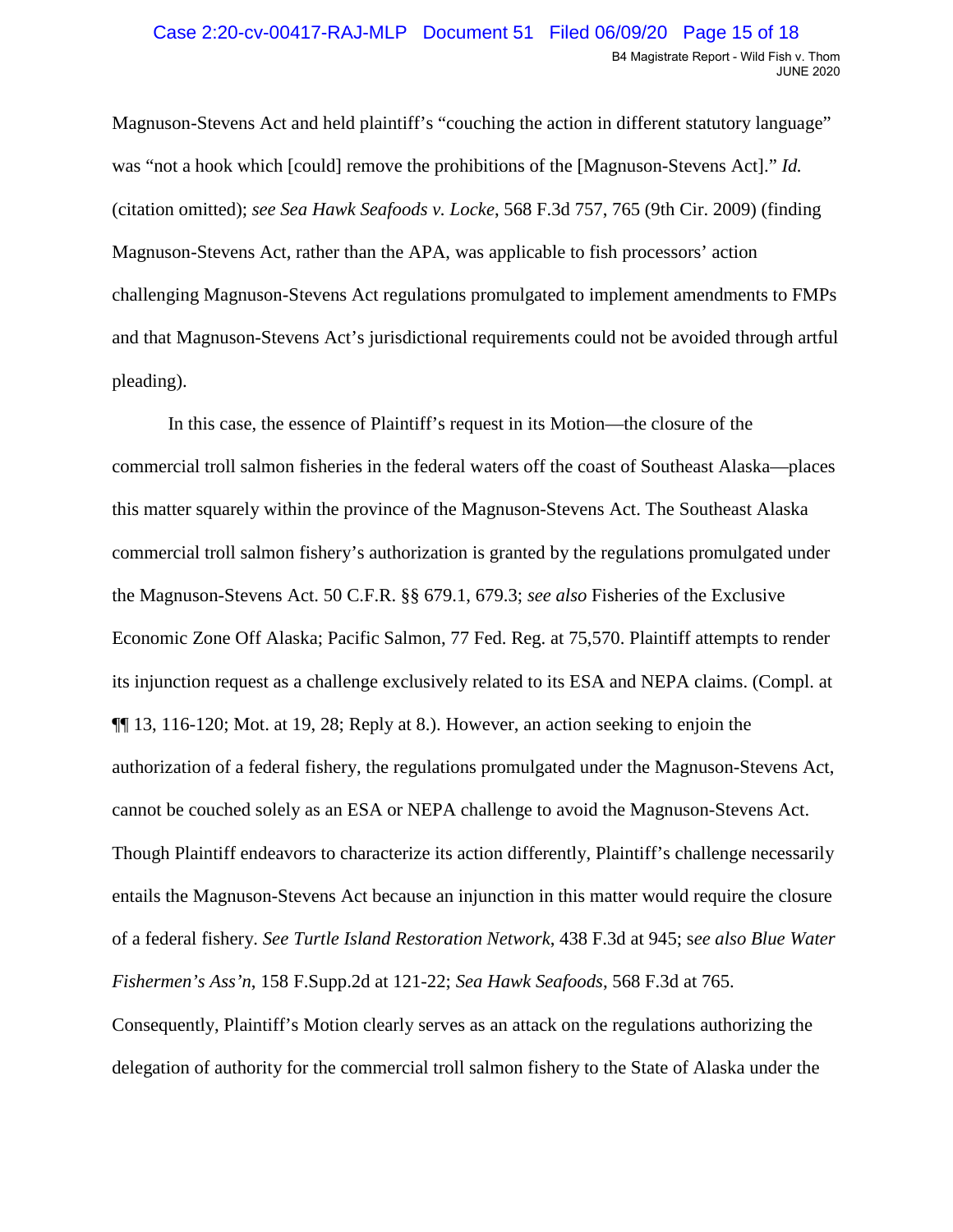Magnuson-Stevens Act and held plaintiff's "couching the action in different statutory language" was "not a hook which [could] remove the prohibitions of the [Magnuson-Stevens Act]." *Id.*  (citation omitted); *see Sea Hawk Seafoods v. Locke*, 568 F.3d 757, 765 (9th Cir. 2009) (finding Magnuson-Stevens Act, rather than the APA, was applicable to fish processors' action challenging Magnuson-Stevens Act regulations promulgated to implement amendments to FMPs and that Magnuson-Stevens Act's jurisdictional requirements could not be avoided through artful pleading).

In this case, the essence of Plaintiff's request in its Motion—the closure of the commercial troll salmon fisheries in the federal waters off the coast of Southeast Alaska—places this matter squarely within the province of the Magnuson-Stevens Act. The Southeast Alaska commercial troll salmon fishery's authorization is granted by the regulations promulgated under the Magnuson-Stevens Act. 50 C.F.R. §§ 679.1, 679.3; *see also* Fisheries of the Exclusive Economic Zone Off Alaska; Pacific Salmon, 77 Fed. Reg. at 75,570. Plaintiff attempts to render its injunction request as a challenge exclusively related to its ESA and NEPA claims. (Compl. at ¶¶ 13, 116-120; Mot. at 19, 28; Reply at 8.). However, an action seeking to enjoin the authorization of a federal fishery, the regulations promulgated under the Magnuson-Stevens Act, cannot be couched solely as an ESA or NEPA challenge to avoid the Magnuson-Stevens Act. Though Plaintiff endeavors to characterize its action differently, Plaintiff's challenge necessarily entails the Magnuson-Stevens Act because an injunction in this matter would require the closure of a federal fishery. *See Turtle Island Restoration Network*, 438 F.3d at 945; s*ee also Blue Water Fishermen's Ass'n*, 158 F.Supp.2d at 121-22; *Sea Hawk Seafoods*, 568 F.3d at 765. Consequently, Plaintiff's Motion clearly serves as an attack on the regulations authorizing the

delegation of authority for the commercial troll salmon fishery to the State of Alaska under the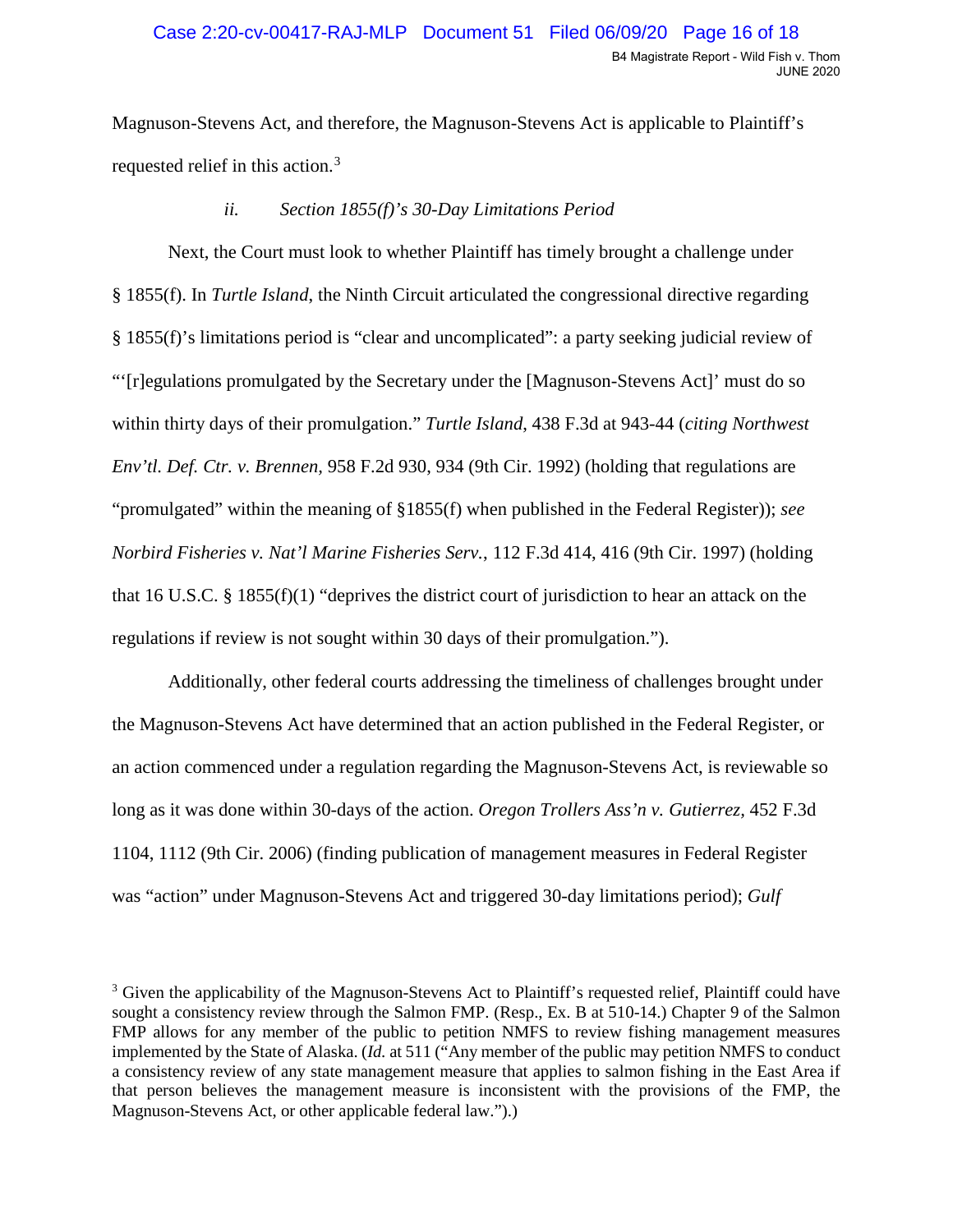requested relief in this action.<sup>3</sup> Magnuson-Stevens Act, and therefore, the Magnuson-Stevens Act is applicable to Plaintiff's

## *ii. Section 1855(f)'s 30-Day Limitations Period*

 Next, the Court must look to whether Plaintiff has timely brought a challenge under § 1855(f). In *Turtle Island*, the Ninth Circuit articulated the congressional directive regarding § 1855(f)'s limitations period is "clear and uncomplicated": a party seeking judicial review of "'[r]egulations promulgated by the Secretary under the [Magnuson-Stevens Act]' must do so within thirty days of their promulgation." *Turtle Island*, 438 F.3d at 943-44 (*citing Northwest Env'tl. Def. Ctr. v. Brennen,* 958 F.2d 930, 934 (9th Cir. 1992) (holding that regulations are "promulgated" within the meaning of §1855(f) when published in the Federal Register)); *see Norbird Fisheries v. Nat'l Marine Fisheries Serv.*, 112 F.3d 414, 416 (9th Cir. 1997) (holding that 16 U.S.C. § 1855(f)(1) "deprives the district court of jurisdiction to hear an attack on the regulations if review is not sought within 30 days of their promulgation.").

 long as it was done within 30-days of the action. *Oregon Trollers Ass'n v. Gutierrez,* 452 F.3d was "action" under Magnuson-Stevens Act and triggered 30-day limitations period); *Gulf*  Additionally, other federal courts addressing the timeliness of challenges brought under the Magnuson-Stevens Act have determined that an action published in the Federal Register, or an action commenced under a regulation regarding the Magnuson-Stevens Act, is reviewable so 1104, 1112 (9th Cir. 2006) (finding publication of management measures in Federal Register

<span id="page-15-0"></span> $3$  Given the applicability of the Magnuson-Stevens Act to Plaintiff's requested relief, Plaintiff could have sought a consistency review through the Salmon FMP. (Resp., Ex. B at 510-14.) Chapter 9 of the Salmon FMP allows for any member of the public to petition NMFS to review fishing management measures implemented by the State of Alaska. (*Id.* at 511 ("Any member of the public may petition NMFS to conduct that person believes the management measure is inconsistent with the provisions of the FMP, the a consistency review of any state management measure that applies to salmon fishing in the East Area if Magnuson-Stevens Act, or other applicable federal law.").)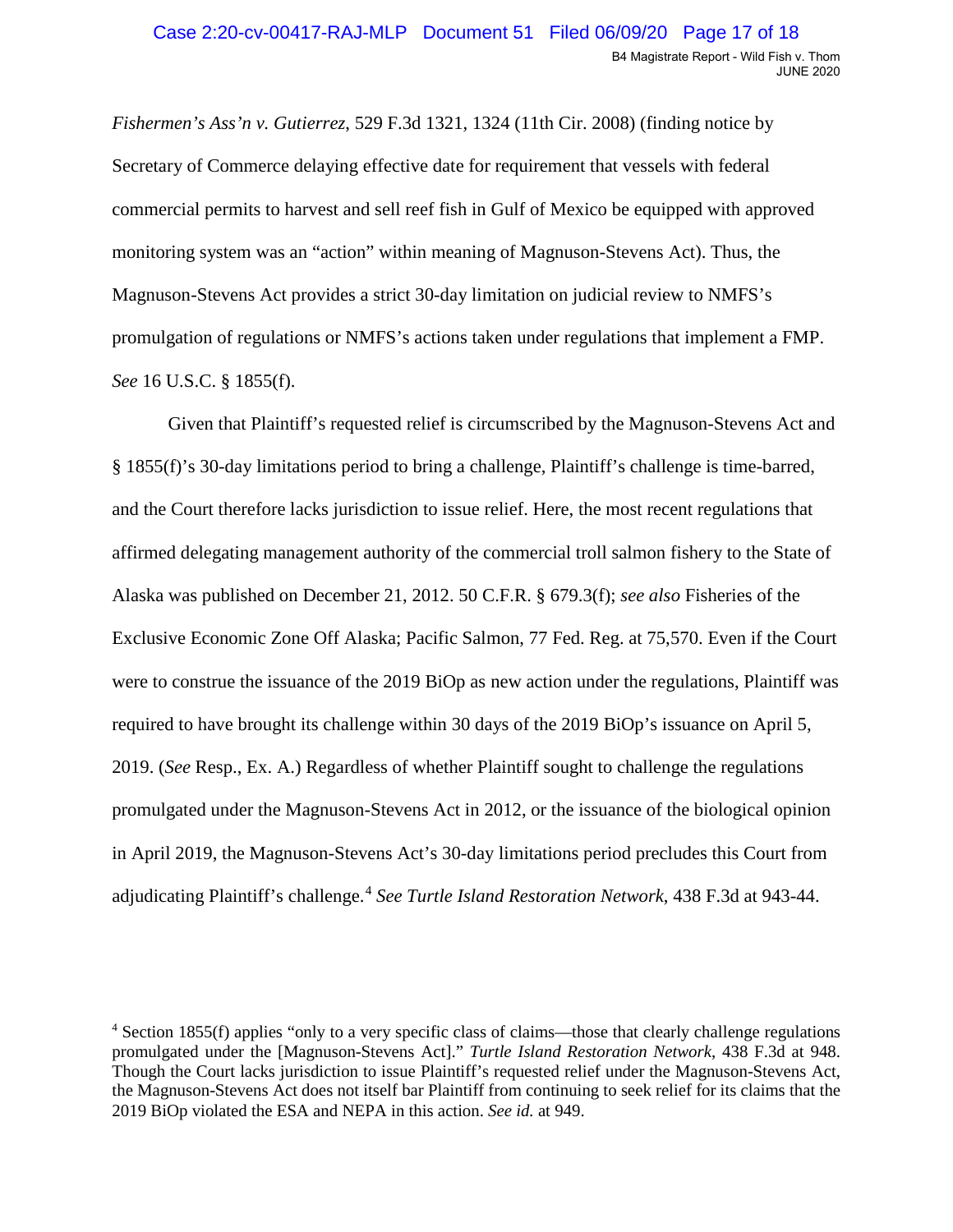*Fishermen's Ass'n v. Gutierrez*, 529 F.3d 1321, 1324 (11th Cir. 2008) (finding notice by Secretary of Commerce delaying effective date for requirement that vessels with federal commercial permits to harvest and sell reef fish in Gulf of Mexico be equipped with approved monitoring system was an "action" within meaning of Magnuson-Stevens Act). Thus, the Magnuson-Stevens Act provides a strict 30-day limitation on judicial review to NMFS's promulgation of regulations or NMFS's actions taken under regulations that implement a FMP. *See* 16 U.S.C. § 1855(f).

 affirmed delegating management authority of the commercial troll salmon fishery to the State of Alaska was published on December 21, 2012. 50 C.F.R. § 679.3(f); *see also* Fisheries of the 2019. (*See* Resp., Ex. A.) Regardless of whether Plaintiff sought to challenge the regulations adjudicating Plaintiff's challenge.[4](#page-16-0) *See Turtle Island Restoration Network*, 438 F.3d at 943-44. Given that Plaintiff's requested relief is circumscribed by the Magnuson-Stevens Act and § 1855(f)'s 30-day limitations period to bring a challenge, Plaintiff's challenge is time-barred, and the Court therefore lacks jurisdiction to issue relief. Here, the most recent regulations that Exclusive Economic Zone Off Alaska; Pacific Salmon, 77 Fed. Reg. at 75,570. Even if the Court were to construe the issuance of the 2019 BiOp as new action under the regulations, Plaintiff was required to have brought its challenge within 30 days of the 2019 BiOp's issuance on April 5, promulgated under the Magnuson-Stevens Act in 2012, or the issuance of the biological opinion in April 2019, the Magnuson-Stevens Act's 30-day limitations period precludes this Court from

<span id="page-16-0"></span> promulgated under the [Magnuson-Stevens Act]." *Turtle Island Restoration Network*, 438 F.3d at 948. Though the Court lacks jurisdiction to issue Plaintiff's requested relief under the Magnuson-Stevens Act, 2019 BiOp violated the ESA and NEPA in this action. *See id.* at 949. 4 Section 1855(f) applies "only to a very specific class of claims—those that clearly challenge regulations the Magnuson-Stevens Act does not itself bar Plaintiff from continuing to seek relief for its claims that the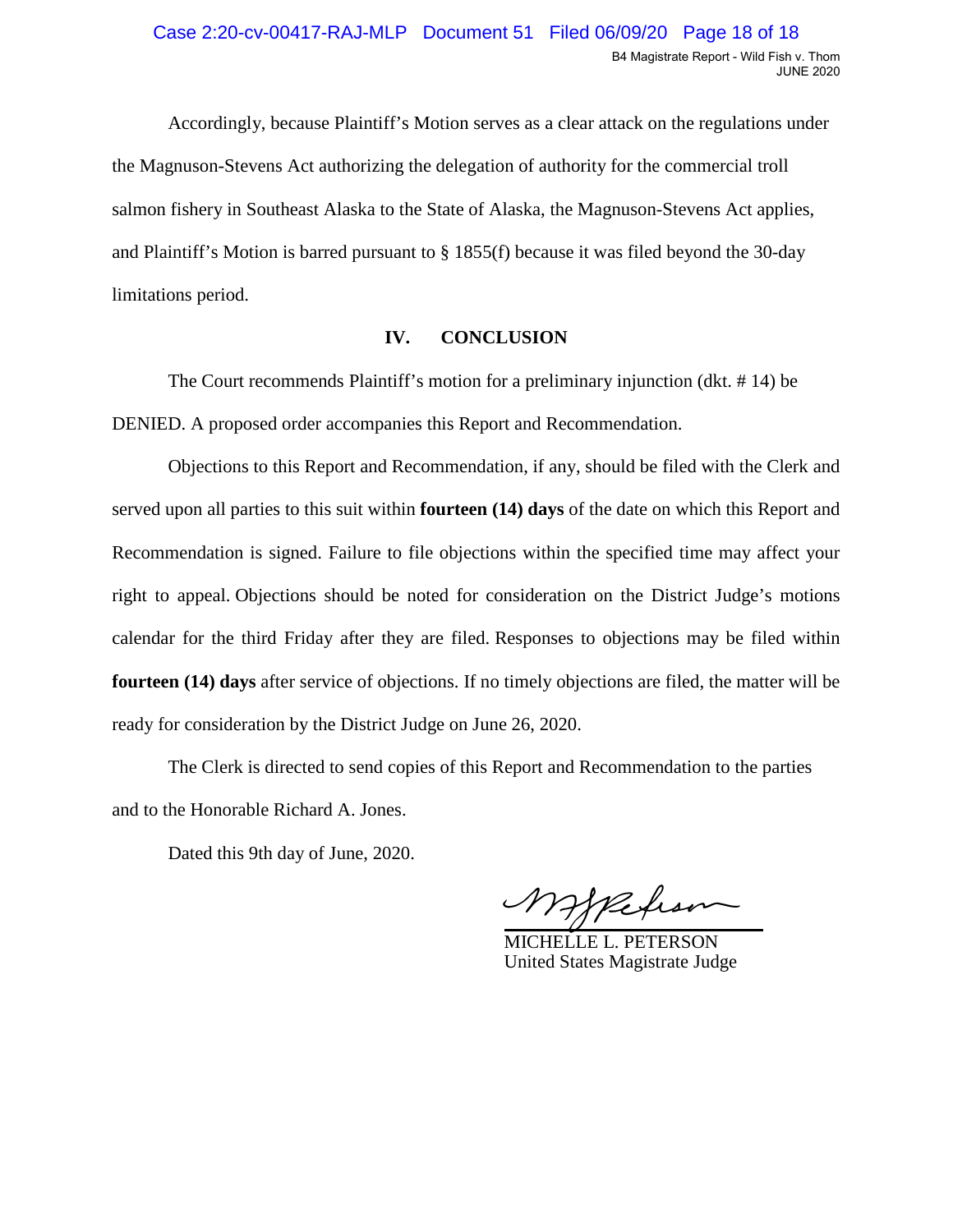Accordingly, because Plaintiff's Motion serves as a clear attack on the regulations under the Magnuson-Stevens Act authorizing the delegation of authority for the commercial troll salmon fishery in Southeast Alaska to the State of Alaska, the Magnuson-Stevens Act applies, and Plaintiff's Motion is barred pursuant to § 1855(f) because it was filed beyond the 30-day limitations period.

### **IV. CONCLUSION**

The Court recommends Plaintiff's motion for a preliminary injunction (dkt. # 14) be DENIED. A proposed order accompanies this Report and Recommendation.

 Recommendation is signed. Failure to file objections within the specified time may affect your Objections to this Report and Recommendation, if any, should be filed with the Clerk and served upon all parties to this suit within **fourteen (14) days** of the date on which this Report and right to appeal. Objections should be noted for consideration on the District Judge's motions calendar for the third Friday after they are filed. Responses to objections may be filed within **fourteen (14) days** after service of objections. If no timely objections are filed, the matter will be ready for consideration by the District Judge on June 26, 2020.

 The Clerk is directed to send copies of this Report and Recommendation to the parties and to the Honorable Richard A. Jones.

Dated this 9th day of June, 2020.

 $\mathbb{R}^2$ Mappehson

MICHELLE L. PETERSON United States Magistrate Judge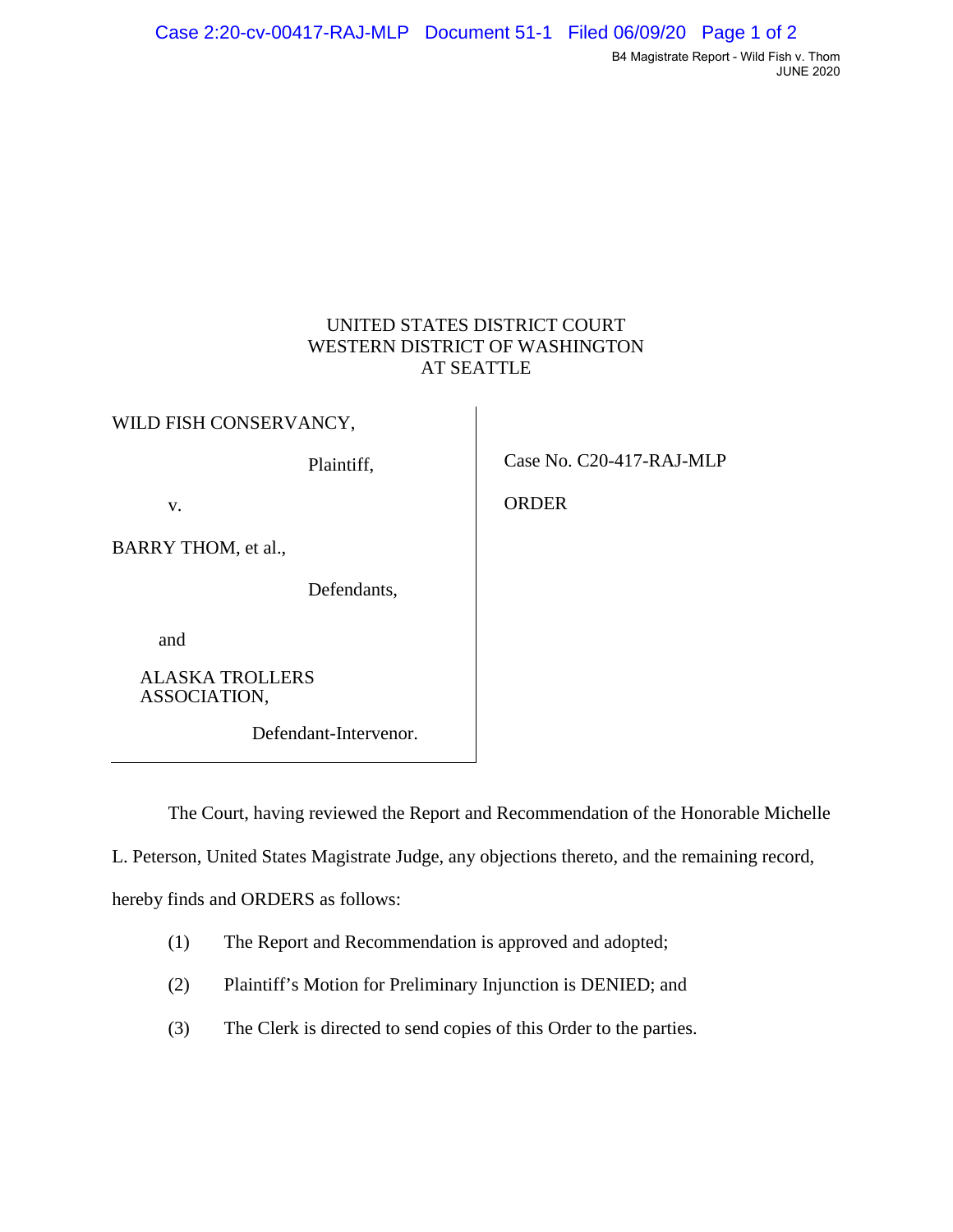# UNITED STATES DISTRICT COURT WESTERN DISTRICT OF WASHINGTON AT SEATTLE

WILD FISH CONSERVANCY,

BARRY THOM, et al.,

Defendants,

and

ALASKA TROLLERS ASSOCIATION,

Defendant-Intervenor.

Plaintiff, Case No. C20-417-RAJ-MLP

v. Branch Company of the Company of the Company of the Company of the Company of the Company of the Company of the Company of the Company of the Company of the Company of the Company of the Company of the Company of the Co

The Court, having reviewed the Report and Recommendation of the Honorable Michelle

L. Peterson, United States Magistrate Judge, any objections thereto, and the remaining record,

hereby finds and ORDERS as follows:

- (1) The Report and Recommendation is approved and adopted;
- (2) Plaintiff's Motion for Preliminary Injunction is DENIED; and
- (3) The Clerk is directed to send copies of this Order to the parties.